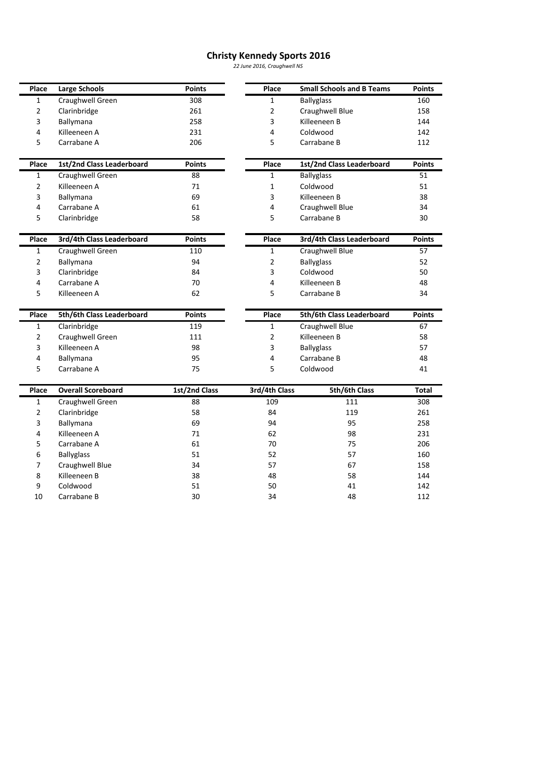## **Kennedy Sports <sup>2016</sup>** *June 2016, Craughwell NS*

|                |                           |               | <b>Christy Kennedy Sports 2016</b> |                                  |               |
|----------------|---------------------------|---------------|------------------------------------|----------------------------------|---------------|
|                |                           |               | 22 June 2016, Craughwell NS        |                                  |               |
| Place          | <b>Large Schools</b>      | <b>Points</b> | Place                              | <b>Small Schools and B Teams</b> | <b>Points</b> |
| 1              | Craughwell Green          | 308           | $\mathbf{1}$                       | <b>Ballyglass</b>                | 160           |
| 2              | Clarinbridge              | 261           | 2                                  | Craughwell Blue                  | 158           |
| 3              | Ballymana                 | 258           | 3                                  | Killeeneen B                     | 144           |
| 4              | Killeeneen A              | 231           | 4                                  | Coldwood                         | 142           |
| 5              | Carrabane A               | 206           | 5                                  | Carrabane B                      | 112           |
| Place          | 1st/2nd Class Leaderboard | <b>Points</b> | Place                              | 1st/2nd Class Leaderboard        | <b>Points</b> |
| 1              | Craughwell Green          | 88            | 1                                  | <b>Ballyglass</b>                | 51            |
| 2              | Killeeneen A              | 71            | 1                                  | Coldwood                         | 51            |
| 3              | Ballymana                 | 69            | 3                                  | Killeeneen B                     | 38            |
| 4              | Carrabane A               | 61            | 4                                  | Craughwell Blue                  | 34            |
| 5              | Clarinbridge              | 58            | 5                                  | Carrabane B                      | 30            |
| Place          | 3rd/4th Class Leaderboard | <b>Points</b> | Place                              | 3rd/4th Class Leaderboard        | <b>Points</b> |
| 1              | Craughwell Green          | 110           | 1                                  | Craughwell Blue                  | 57            |
| 2              | Ballymana                 | 94            | 2                                  | <b>Ballyglass</b>                | 52            |
| 3              | Clarinbridge              | 84            | 3                                  | Coldwood                         | 50            |
| 4              | Carrabane A               | 70            | 4                                  | Killeeneen B                     | 48            |
| 5              | Killeeneen A              | 62            | 5                                  | Carrabane B                      | 34            |
| Place          | 5th/6th Class Leaderboard | <b>Points</b> | Place                              | 5th/6th Class Leaderboard        | <b>Points</b> |
| 1              | Clarinbridge              | 119           | 1                                  | Craughwell Blue                  | 67            |
| 2              | Craughwell Green          | 111           | 2                                  | Killeeneen B                     | 58            |
| 3              | Killeeneen A              | 98            | 3                                  | <b>Ballyglass</b>                | 57            |
| 4              | Ballymana                 | 95            | 4                                  | Carrabane B                      | 48            |
| 5              | Carrabane A               | 75            | 5                                  | Coldwood                         | 41            |
| Place          | <b>Overall Scoreboard</b> | 1st/2nd Class | 3rd/4th Class                      | 5th/6th Class                    | <b>Total</b>  |
| 1              | Craughwell Green          | 88            | 109                                | 111                              | 308           |
| 2              | Clarinbridge              | 58            | 84                                 | 119                              | 261           |
| 3              | Ballymana                 | 69            | 94                                 | 95                               | 258           |
| 4              | Killeeneen A              | 71            | 62                                 | 98                               | 231           |
| 5              | Carrabane A               | 61            | 70                                 | 75                               | 206           |
| 6              | <b>Ballyglass</b>         | 51            | 52                                 | 57                               | 160           |
| $\overline{7}$ | Craughwell Blue           | 34            | 57                                 | 67                               | 158           |
| 8              | Killeeneen B              | 38            | 48                                 | 58                               | 144           |
| 9              | Coldwood                  | 51            | 50                                 | 41                               | 142           |
| 10             | Carrabane B               | 30            | 34                                 | 48                               | 112           |

 $\overline{9}$ 10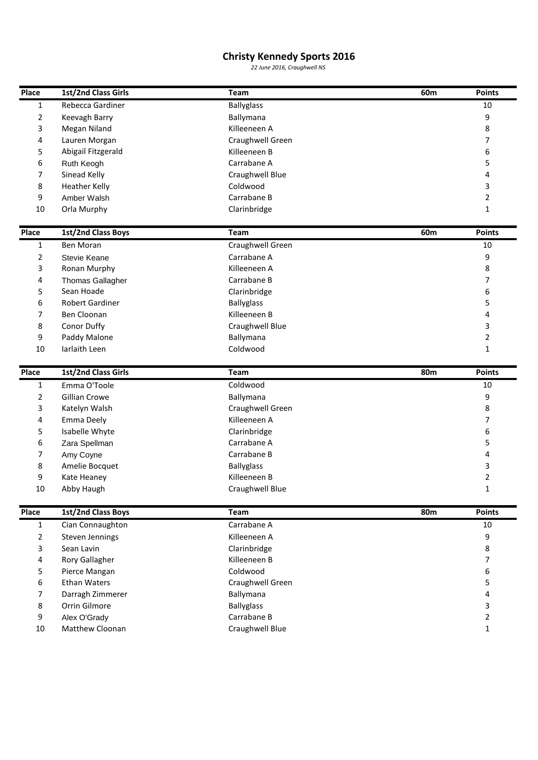## **1st/2nd Class Girls 1st/2nd Class Girls 1st**

|                      |                                     | <b>Christy Kennedy Sports 2016</b> |                 |                |
|----------------------|-------------------------------------|------------------------------------|-----------------|----------------|
|                      |                                     | 22 June 2016, Craughwell NS        |                 |                |
| Place                | 1st/2nd Class Girls                 | Team                               | 60m             | <b>Points</b>  |
| 1                    | Rebecca Gardiner                    | <b>Ballyglass</b>                  |                 | 10             |
| 2                    | Keevagh Barry                       | Ballymana                          |                 | 9              |
| 3                    | Megan Niland                        | Killeeneen A                       |                 | 8              |
| 4                    | Lauren Morgan                       | Craughwell Green                   |                 | 7              |
| 5                    | Abigail Fitzgerald                  | Killeeneen B                       |                 | 6              |
| 6                    | Ruth Keogh                          | Carrabane A                        |                 | 5              |
| 7                    | Sinead Kelly                        | Craughwell Blue                    |                 | 4              |
| 8                    | <b>Heather Kelly</b>                | Coldwood                           |                 | 3              |
| 9                    |                                     | Carrabane B                        |                 | $\overline{2}$ |
|                      | Amber Walsh                         |                                    |                 |                |
| 10                   | Orla Murphy                         | Clarinbridge                       |                 | $\mathbf{1}$   |
| Place                | 1st/2nd Class Boys                  | Team                               | 60 <sub>m</sub> | <b>Points</b>  |
| 1                    | Ben Moran                           | <b>Craughwell Green</b>            |                 | 10             |
| 2                    | Stevie Keane                        | Carrabane A                        |                 | 9              |
| 3                    | Ronan Murphy                        | Killeeneen A                       |                 | 8              |
| 4                    | <b>Thomas Gallagher</b>             | Carrabane B                        |                 | 7              |
| 5                    | Sean Hoade                          | Clarinbridge                       |                 | 6              |
| 6                    | <b>Robert Gardiner</b>              | <b>Ballyglass</b>                  |                 | 5              |
| 7                    | Ben Cloonan                         | Killeeneen B                       |                 | 4              |
| 8                    | Conor Duffy                         | Craughwell Blue                    |                 | 3              |
| 9                    | Paddy Malone                        | Ballymana                          |                 | 2              |
| 10                   | Iarlaith Leen                       | Coldwood                           |                 | $\mathbf{1}$   |
|                      |                                     |                                    |                 |                |
| Place<br>$\mathbf 1$ | 1st/2nd Class Girls<br>Emma O'Toole | Team<br>Coldwood                   | 80m             | Points<br>10   |
| $\overline{2}$       | Gillian Crowe                       | Ballymana                          |                 | 9              |
|                      | Katelyn Walsh                       | Craughwell Green                   |                 | 8              |
| 3                    |                                     |                                    |                 |                |
| 4                    | Emma Deely                          | Killeeneen A                       |                 | 7              |
| 5                    | Isabelle Whyte                      | Clarinbridge                       |                 | 6              |
| 6                    | Zara Spellman                       | Carrabane A                        |                 | 5              |
| 7                    | Amy Coyne                           | Carrabane B                        |                 | 4              |
| 8                    | Amelie Bocquet                      | <b>Ballyglass</b>                  |                 | 3              |
| 9                    | Kate Heaney                         | Killeeneen B                       |                 | $\overline{2}$ |
| 10                   | Abby Haugh                          | Craughwell Blue                    |                 | $\mathbf{1}$   |
| Place                | 1st/2nd Class Boys                  | Team                               | 80m             | <b>Points</b>  |
| 1                    | Cian Connaughton                    | Carrabane A                        |                 | 10             |
| 2                    | Steven Jennings                     | Killeeneen A                       |                 | 9              |
| 3                    | Sean Lavin                          | Clarinbridge                       |                 | 8              |
| 4                    | Rory Gallagher                      | Killeeneen B                       |                 | 7              |
| 5                    | Pierce Mangan                       | Coldwood                           |                 | 6              |
| 6                    | <b>Ethan Waters</b>                 | Craughwell Green                   |                 | 5              |
| 7                    | Darragh Zimmerer                    | Ballymana                          |                 | 4              |
|                      | Orrin Gilmore                       | <b>Ballyglass</b>                  |                 | 3              |
| 8                    |                                     |                                    |                 |                |
| 9                    | Alex O'Grady                        | Carrabane B                        |                 | $\overline{2}$ |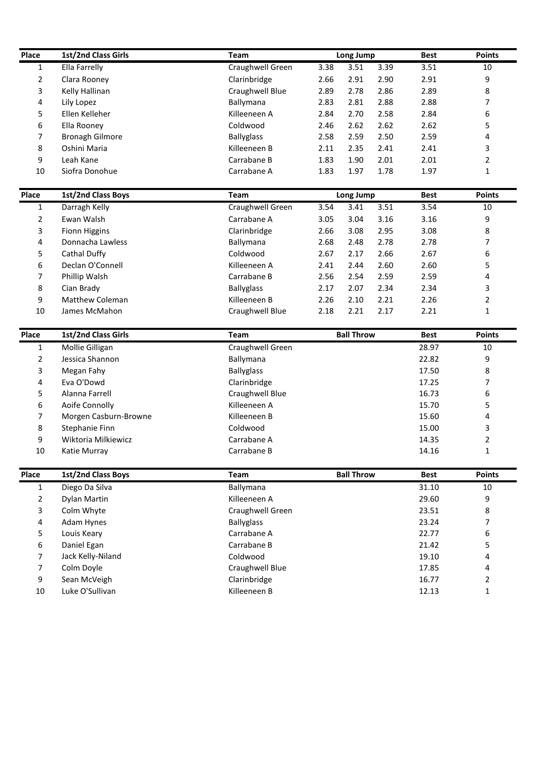| Place          | 1st/2nd Class Girls    | Team              | Long Jump<br>3.51 | 3.39 | <b>Best</b> | <b>Points</b>  |
|----------------|------------------------|-------------------|-------------------|------|-------------|----------------|
| 1              | Ella Farrelly          | Craughwell Green  | 3.38              |      | 3.51        | 10             |
| 2              | Clara Rooney           | Clarinbridge      | 2.66<br>2.91      | 2.90 | 2.91        | 9              |
| 3              | Kelly Hallinan         | Craughwell Blue   | 2.89<br>2.78      | 2.86 | 2.89        | 8              |
| 4              | Lily Lopez             | Ballymana         | 2.83<br>2.81      | 2.88 | 2.88        | 7              |
| 5              | Ellen Kelleher         | Killeeneen A      | 2.84<br>2.70      | 2.58 | 2.84        | 6              |
| 6              | Ella Rooney            | Coldwood          | 2.46<br>2.62      | 2.62 | 2.62        | 5              |
| 7              | <b>Bronagh Gilmore</b> | <b>Ballyglass</b> | 2.58<br>2.59      | 2.50 | 2.59        | 4              |
| 8              | Oshini Maria           | Killeeneen B      | 2.11<br>2.35      | 2.41 | 2.41        | 3              |
| 9              | Leah Kane              | Carrabane B       | 1.83<br>1.90      | 2.01 | 2.01        | $\overline{2}$ |
| 10             | Siofra Donohue         | Carrabane A       | 1.83<br>1.97      | 1.78 | 1.97        | $\mathbf{1}$   |
| Place          | 1st/2nd Class Boys     | Team              | Long Jump         |      | <b>Best</b> | <b>Points</b>  |
| 1              | Darragh Kelly          | Craughwell Green  | 3.54<br>3.41      | 3.51 | 3.54        | 10             |
| 2              | Ewan Walsh             | Carrabane A       | 3.04<br>3.05      | 3.16 | 3.16        | 9              |
| 3              | <b>Fionn Higgins</b>   | Clarinbridge      | 2.66<br>3.08      | 2.95 | 3.08        | 8              |
| 4              | Donnacha Lawless       | Ballymana         | 2.68<br>2.48      | 2.78 | 2.78        | 7              |
| 5              | Cathal Duffy           | Coldwood          | 2.67<br>2.17      | 2.66 | 2.67        | 6              |
| 6              | Declan O'Connell       | Killeeneen A      | 2.41<br>2.44      | 2.60 | 2.60        | 5              |
| 7              | Phillip Walsh          | Carrabane B       | 2.56<br>2.54      | 2.59 | 2.59        | 4              |
| 8              | Cian Brady             | <b>Ballyglass</b> | 2.17<br>2.07      | 2.34 | 2.34        | 3              |
| 9              | <b>Matthew Coleman</b> | Killeeneen B      | 2.26<br>2.10      | 2.21 | 2.26        | $\overline{2}$ |
| 10             | James McMahon          | Craughwell Blue   | 2.18<br>2.21      | 2.17 | 2.21        | $\mathbf{1}$   |
| Place          | 1st/2nd Class Girls    | <b>Team</b>       | <b>Ball Throw</b> |      | <b>Best</b> | <b>Points</b>  |
| 1              | Mollie Gilligan        | Craughwell Green  |                   |      | 28.97       | 10             |
| 2              | Jessica Shannon        | Ballymana         |                   |      | 22.82       | 9              |
| 3              | Megan Fahy             | <b>Ballyglass</b> |                   |      | 17.50       | 8              |
| 4              | Eva O'Dowd             | Clarinbridge      |                   |      | 17.25       | 7              |
| 5              | Alanna Farrell         | Craughwell Blue   |                   |      | 16.73       | 6              |
| 6              | Aoife Connolly         | Killeeneen A      |                   |      | 15.70       | 5              |
| 7              | Morgen Casburn-Browne  | Killeeneen B      |                   |      | 15.60       | 4              |
| 8              | Stephanie Finn         | Coldwood          |                   |      | 15.00       | 3              |
| 9              | Wiktoria Milkiewicz    | Carrabane A       |                   |      | 14.35       | $\overline{2}$ |
| 10             | Katie Murray           | Carrabane B       |                   |      | 14.16       | $\mathbf{1}$   |
| Place          | 1st/2nd Class Boys     | Team              | <b>Ball Throw</b> |      | <b>Best</b> | <b>Points</b>  |
| 1              | Diego Da Silva         | Ballymana         |                   |      | 31.10       | 10             |
| 2              | Dylan Martin           | Killeeneen A      |                   |      | 29.60       | 9              |
| 3              | Colm Whyte             | Craughwell Green  |                   |      | 23.51       | 8              |
| 4              | Adam Hynes             | <b>Ballyglass</b> |                   |      | 23.24       | 7              |
| 5              | Louis Keary            | Carrabane A       |                   |      | 22.77       | 6              |
| 6              | Daniel Egan            | Carrabane B       |                   |      | 21.42       | 5              |
| 7              | Jack Kelly-Niland      | Coldwood          |                   |      | 19.10       | 4              |
|                |                        |                   |                   |      | 17.85       | 4              |
| $\overline{7}$ | Colm Doyle             | Craughwell Blue   |                   |      |             |                |
| 9              | Sean McVeigh           | Clarinbridge      |                   |      | 16.77       | $\overline{2}$ |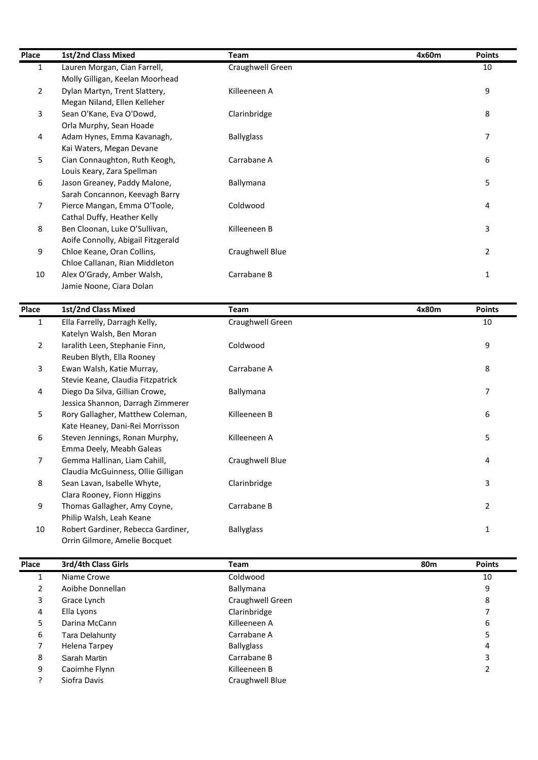| Place          | 1st/2nd Class Mixed                | <b>Team</b>       | 4x60m | <b>Points</b>  |
|----------------|------------------------------------|-------------------|-------|----------------|
| $\mathbf{1}$   | Lauren Morgan, Cian Farrell,       | Craughwell Green  |       | 10             |
|                | Molly Gilligan, Keelan Moorhead    |                   |       |                |
| $\overline{2}$ | Dylan Martyn, Trent Slattery,      | Killeeneen A      |       | 9              |
|                | Megan Niland, Ellen Kelleher       |                   |       |                |
| 3              | Sean O'Kane, Eva O'Dowd,           | Clarinbridge      |       | 8              |
|                | Orla Murphy, Sean Hoade            |                   |       |                |
| 4              | Adam Hynes, Emma Kavanagh,         | <b>Ballyglass</b> |       | 7              |
|                | Kai Waters, Megan Devane           |                   |       |                |
| 5              | Cian Connaughton, Ruth Keogh,      | Carrabane A       |       | 6              |
|                | Louis Keary, Zara Spellman         |                   |       |                |
| 6              | Jason Greaney, Paddy Malone,       | Ballymana         |       | 5              |
|                | Sarah Concannon, Keevagh Barry     |                   |       |                |
| 7              | Pierce Mangan, Emma O'Toole,       | Coldwood          |       | 4              |
|                | Cathal Duffy, Heather Kelly        |                   |       |                |
| 8              | Ben Cloonan, Luke O'Sullivan,      | Killeeneen B      |       | 3              |
|                | Aoife Connolly, Abigail Fitzgerald |                   |       |                |
| 9              | Chloe Keane, Oran Collins,         | Craughwell Blue   |       | $\overline{2}$ |
|                | Chloe Callanan, Rian Middleton     |                   |       |                |
| 10             | Alex O'Grady, Amber Walsh,         | Carrabane B       |       | $\mathbf{1}$   |
|                | Jamie Noone, Ciara Dolan           |                   |       |                |
| <b>Place</b>   | 1st/2nd Class Mixed                | <b>Team</b>       | 4x80m | <b>Points</b>  |
| $\mathbf{1}$   | Ella Farrelly, Darragh Kelly,      | Craughwell Green  |       | 10             |
|                | Katelyn Walsh, Ben Moran           |                   |       |                |

| ΊÛ             | Alex O'Grady, Amber Walsh,<br>Jamie Noone, Ciara Dolan              | Carrabane B       |       | T.             |
|----------------|---------------------------------------------------------------------|-------------------|-------|----------------|
| Place          | 1st/2nd Class Mixed                                                 | <b>Team</b>       | 4x80m | <b>Points</b>  |
| $\mathbf{1}$   | Ella Farrelly, Darragh Kelly,<br>Katelyn Walsh, Ben Moran           | Craughwell Green  |       | 10             |
| $\overline{2}$ | Iaralith Leen, Stephanie Finn,<br>Reuben Blyth, Ella Rooney         | Coldwood          |       | 9              |
| 3              | Ewan Walsh, Katie Murray,<br>Stevie Keane, Claudia Fitzpatrick      | Carrabane A       |       | 8              |
| 4              | Diego Da Silva, Gillian Crowe,<br>Jessica Shannon, Darragh Zimmerer | Ballymana         |       | 7              |
| 5              | Rory Gallagher, Matthew Coleman,<br>Kate Heaney, Dani-Rei Morrisson | Killeeneen B      |       | 6              |
| 6              | Steven Jennings, Ronan Murphy,<br>Emma Deely, Meabh Galeas          | Killeeneen A      |       | 5              |
| 7              | Gemma Hallinan, Liam Cahill,<br>Claudia McGuinness, Ollie Gilligan  | Craughwell Blue   |       | 4              |
| 8              | Sean Lavan, Isabelle Whyte,<br>Clara Rooney, Fionn Higgins          | Clarinbridge      |       | 3              |
| 9              | Thomas Gallagher, Amy Coyne,<br>Philip Walsh, Leah Keane            | Carrabane B       |       | $\overline{2}$ |
| 10             | Robert Gardiner, Rebecca Gardiner,<br>Orrin Gilmore, Amelie Bocquet | <b>Ballyglass</b> |       | $\mathbf{1}$   |
| Place          | 3rd/4th Class Girls                                                 | <b>Team</b>       | 80m   | <b>Points</b>  |
|                | Niame Crowe                                                         | Coldwood          |       | 10             |

| 10    | Philip Waish, Lean Keane<br>Robert Gardiner, Rebecca Gardiner,<br>Orrin Gilmore, Amelie Bocquet | <b>Ballyglass</b> |     |               |
|-------|-------------------------------------------------------------------------------------------------|-------------------|-----|---------------|
| Place | 3rd/4th Class Girls                                                                             | Team              | 80m | <b>Points</b> |
| 1     | Niame Crowe                                                                                     | Coldwood          |     | 10            |
| 2     | Aoibhe Donnellan                                                                                | Ballymana         |     | 9             |
| 3     | Grace Lynch                                                                                     | Craughwell Green  |     | 8             |
| 4     | Ella Lyons                                                                                      | Clarinbridge      |     |               |
| 5     | Darina McCann                                                                                   | Killeeneen A      |     | 6             |
| 6     | Tara Delahunty                                                                                  | Carrabane A       |     | 5             |
|       | Helena Tarpey                                                                                   | <b>Ballyglass</b> |     | 4             |
| 8     | Sarah Martin                                                                                    | Carrabane B       |     | 3             |
| 9     | Caoimhe Flynn                                                                                   | Killeeneen B      |     | 2             |
|       | Siofra Davis                                                                                    | Craughwell Blue   |     |               |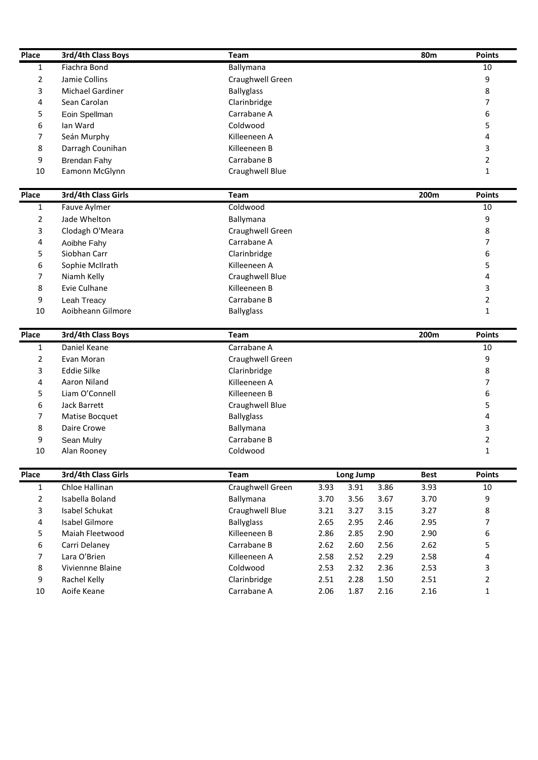| Place        | 3rd/4th Class Boys               | Team                        |              |                   |              | <b>80m</b>   | <b>Points</b>       |
|--------------|----------------------------------|-----------------------------|--------------|-------------------|--------------|--------------|---------------------|
| $\mathbf{1}$ | Fiachra Bond                     | Ballymana                   |              |                   |              |              | 10                  |
| 2            | Jamie Collins                    | Craughwell Green            |              |                   |              |              | 9                   |
| 3            | <b>Michael Gardiner</b>          | <b>Ballyglass</b>           |              |                   |              |              | 8                   |
| 4            | Sean Carolan                     | Clarinbridge                |              |                   |              |              | 7                   |
| 5            | Eoin Spellman                    | Carrabane A                 |              |                   |              |              | 6                   |
| 6            | Ian Ward                         | Coldwood                    |              |                   |              |              | 5                   |
| 7            | Seán Murphy                      | Killeeneen A                |              |                   |              |              | 4                   |
| 8            | Darragh Counihan                 | Killeeneen B                |              |                   |              |              | 3                   |
| 9            | <b>Brendan Fahy</b>              | Carrabane B                 |              |                   |              |              | 2                   |
| 10           | Eamonn McGlynn                   | Craughwell Blue             |              |                   |              |              | $\mathbf{1}$        |
|              |                                  |                             |              |                   |              |              |                     |
| Place        | 3rd/4th Class Girls              | Team                        |              |                   |              | 200m         | <b>Points</b>       |
| 1            | Fauve Aylmer                     | Coldwood                    |              |                   |              |              | 10                  |
| 2            | Jade Whelton                     | Ballymana                   |              |                   |              |              | 9                   |
| 3            | Clodagh O'Meara                  | Craughwell Green            |              |                   |              |              | 8                   |
| 4            | Aoibhe Fahy                      | Carrabane A                 |              |                   |              |              | 7                   |
| 5            | Siobhan Carr                     | Clarinbridge                |              |                   |              |              | 6                   |
| 6            | Sophie McIlrath                  | Killeeneen A                |              |                   |              |              | 5                   |
| 7            | Niamh Kelly                      | Craughwell Blue             |              |                   |              |              | 4                   |
| 8            | Evie Culhane                     | Killeeneen B                |              |                   |              |              | 3                   |
| 9            | Leah Treacy                      | Carrabane B                 |              |                   |              |              | 2                   |
| 10           | Aoibheann Gilmore                | <b>Ballyglass</b>           |              |                   |              |              | $\mathbf{1}$        |
| Place        | 3rd/4th Class Boys               | <b>Team</b>                 |              |                   |              | 200m         | <b>Points</b>       |
|              |                                  |                             |              |                   |              |              |                     |
| 1            | Daniel Keane                     | Carrabane A                 |              |                   |              |              | 10                  |
| 2            | Evan Moran                       | Craughwell Green            |              |                   |              |              | 9                   |
| 3            | <b>Eddie Silke</b>               | Clarinbridge                |              |                   |              |              | 8                   |
| 4            | Aaron Niland                     | Killeeneen A                |              |                   |              |              | 7                   |
| 5            | Liam O'Connell                   | Killeeneen B                |              |                   |              |              | 6                   |
| 6            | Jack Barrett                     | Craughwell Blue             |              |                   |              |              | 5                   |
| 7            | Matise Bocquet                   | <b>Ballyglass</b>           |              |                   |              |              | 4                   |
| 8            | Daire Crowe                      | Ballymana                   |              |                   |              |              | 3                   |
| 9            | Sean Mulry                       | Carrabane B                 |              |                   |              |              | $\overline{2}$      |
| 10           | Alan Rooney                      | Coldwood                    |              |                   |              |              | $\mathbf{1}$        |
| Place        | 3rd/4th Class Girls              | Team                        |              |                   |              | <b>Best</b>  | <b>Points</b>       |
| $\mathbf{1}$ | Chloe Hallinan                   |                             | 3.93         | Long Jump<br>3.91 |              |              |                     |
|              | Isabella Boland                  | Craughwell Green            |              |                   | 3.86         | 3.93         | 10                  |
| 2            | Isabel Schukat                   | Ballymana                   | 3.70         | 3.56              | 3.67         | 3.70         | 9                   |
| 3<br>4       | Isabel Gilmore                   | Craughwell Blue             | 3.21         | 3.27              | 3.15         | 3.27         | 8<br>7              |
|              |                                  | <b>Ballyglass</b>           | 2.65         | 2.95              | 2.46         | 2.95         |                     |
| 5<br>6       | Maiah Fleetwood                  | Killeeneen B<br>Carrabane B | 2.86         | 2.85              | 2.90         | 2.90         | 6                   |
| 7            | Carri Delaney                    |                             | 2.62         | 2.60              | 2.56         | 2.62         | 5                   |
|              | Lara O'Brien                     | Killeeneen A                | 2.58         | 2.52              | 2.29         | 2.58         | 4                   |
| 8<br>9       | Viviennne Blaine<br>Rachel Kelly | Coldwood<br>Clarinbridge    | 2.53<br>2.51 | 2.32<br>2.28      | 2.36<br>1.50 | 2.53<br>2.51 | 3<br>$\overline{2}$ |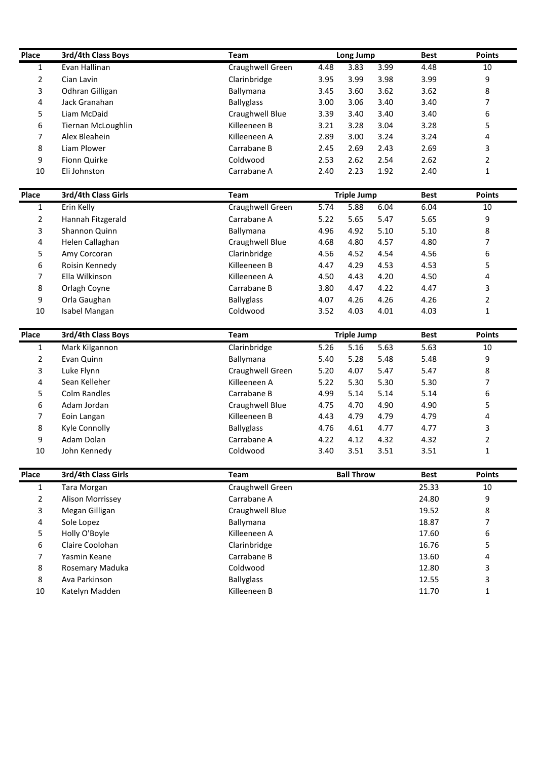| Place        | 3rd/4th Class Boys        | <b>Team</b>       |      | Long Jump          |      | <b>Best</b> | <b>Points</b>  |
|--------------|---------------------------|-------------------|------|--------------------|------|-------------|----------------|
| $\mathbf{1}$ | Evan Hallinan             | Craughwell Green  | 4.48 | 3.83               | 3.99 | 4.48        | 10             |
| 2            | Cian Lavin                | Clarinbridge      | 3.95 | 3.99               | 3.98 | 3.99        | 9              |
| 3            | Odhran Gilligan           | Ballymana         | 3.45 | 3.60               | 3.62 | 3.62        | 8              |
| 4            | Jack Granahan             | <b>Ballyglass</b> | 3.00 | 3.06               | 3.40 | 3.40        | 7              |
| 5            | Liam McDaid               | Craughwell Blue   | 3.39 | 3.40               | 3.40 | 3.40        | 6              |
| 6            | Tiernan McLoughlin        | Killeeneen B      | 3.21 | 3.28               | 3.04 | 3.28        | 5              |
| 7            | Alex Bleahein             | Killeeneen A      | 2.89 | 3.00               | 3.24 | 3.24        | 4              |
| 8            | Liam Plower               | Carrabane B       | 2.45 | 2.69               | 2.43 | 2.69        | 3              |
| 9            | Fionn Quirke              | Coldwood          | 2.53 | 2.62               | 2.54 | 2.62        | $\overline{2}$ |
| 10           | Eli Johnston              | Carrabane A       | 2.40 | 2.23               | 1.92 | 2.40        | $\mathbf{1}$   |
| Place        | 3rd/4th Class Girls       | <b>Team</b>       |      | <b>Triple Jump</b> |      | <b>Best</b> | <b>Points</b>  |
| 1            | Erin Kelly                | Craughwell Green  | 5.74 | 5.88               | 6.04 | 6.04        | 10             |
| 2            | Hannah Fitzgerald         | Carrabane A       | 5.22 | 5.65               | 5.47 | 5.65        | 9              |
| 3            | Shannon Quinn             | Ballymana         | 4.96 | 4.92               | 5.10 | 5.10        | 8              |
| 4            | Helen Callaghan           | Craughwell Blue   | 4.68 | 4.80               | 4.57 | 4.80        | 7              |
| 5            | Amy Corcoran              | Clarinbridge      | 4.56 | 4.52               | 4.54 | 4.56        | 6              |
| 6            | Roisin Kennedy            | Killeeneen B      | 4.47 | 4.29               | 4.53 | 4.53        | 5              |
| 7            | Ella Wilkinson            | Killeeneen A      | 4.50 | 4.43               | 4.20 | 4.50        | 4              |
| 8            | Orlagh Coyne              | Carrabane B       | 3.80 | 4.47               | 4.22 | 4.47        | 3              |
| 9            | Orla Gaughan              | <b>Ballyglass</b> | 4.07 | 4.26               | 4.26 | 4.26        | $\overline{2}$ |
| 10           | Isabel Mangan             | Coldwood          | 3.52 | 4.03               | 4.01 | 4.03        | $\mathbf{1}$   |
| Place        | <b>3rd/4th Class Boys</b> | <b>Team</b>       |      | <b>Triple Jump</b> |      | <b>Best</b> | <b>Points</b>  |
| 1            | Mark Kilgannon            | Clarinbridge      | 5.26 | 5.16               | 5.63 | 5.63        | 10             |
| 2            | Evan Quinn                | Ballymana         | 5.40 | 5.28               | 5.48 | 5.48        | 9              |
| 3            | Luke Flynn                | Craughwell Green  | 5.20 | 4.07               | 5.47 | 5.47        | 8              |
| 4            | Sean Kelleher             | Killeeneen A      | 5.22 | 5.30               | 5.30 | 5.30        | 7              |
| 5            | <b>Colm Randles</b>       | Carrabane B       | 4.99 | 5.14               | 5.14 | 5.14        | 6              |
| 6            | Adam Jordan               | Craughwell Blue   | 4.75 | 4.70               | 4.90 | 4.90        | 5              |
| 7            | Eoin Langan               | Killeeneen B      | 4.43 | 4.79               | 4.79 | 4.79        | 4              |
| 8            | Kyle Connolly             | <b>Ballyglass</b> | 4.76 | 4.61               | 4.77 | 4.77        | 3              |
| 9            | Adam Dolan                | Carrabane A       | 4.22 | 4.12               | 4.32 | 4.32        | $\overline{2}$ |
| 10           | John Kennedy              | Coldwood          | 3.40 | 3.51               | 3.51 | 3.51        | $\mathbf 1$    |
| Place        | 3rd/4th Class Girls       | Team              |      | <b>Ball Throw</b>  |      | <b>Best</b> | <b>Points</b>  |
| 1            | <b>Tara Morgan</b>        | Craughwell Green  |      |                    |      | 25.33       | 10             |
| 2            | Alison Morrissey          | Carrabane A       |      |                    |      | 24.80       | 9              |
| 3            | Megan Gilligan            | Craughwell Blue   |      |                    |      | 19.52       | 8              |
| 4            | Sole Lopez                | Ballymana         |      |                    |      | 18.87       | 7              |
| 5            | Holly O'Boyle             | Killeeneen A      |      |                    |      | 17.60       | 6              |
| 6            | Claire Coolohan           | Clarinbridge      |      |                    |      | 16.76       | 5              |
| 7            | Yasmin Keane              | Carrabane B       |      |                    |      | 13.60       | 4              |
| 8            | Rosemary Maduka           | Coldwood          |      |                    |      | 12.80       | 3              |
|              |                           |                   |      |                    |      |             |                |
| 8            | Ava Parkinson             | <b>Ballyglass</b> |      |                    |      | 12.55       | 3              |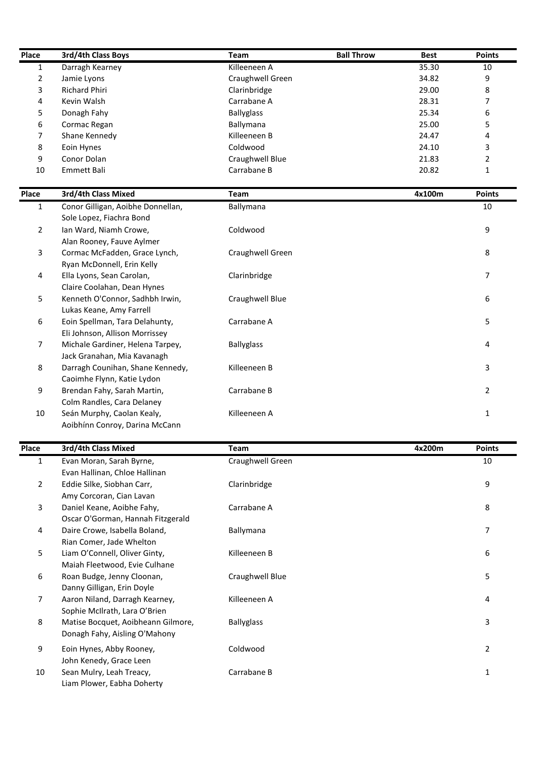| Place          | 3rd/4th Class Boys                                                  | <b>Team</b>       | <b>Ball Throw</b> | <b>Best</b> | <b>Points</b>  |
|----------------|---------------------------------------------------------------------|-------------------|-------------------|-------------|----------------|
| $\mathbf{1}$   | Darragh Kearney                                                     | Killeeneen A      |                   | 35.30       | 10             |
| 2              | Jamie Lyons                                                         | Craughwell Green  |                   | 34.82       | 9              |
| 3              | Richard Phiri                                                       | Clarinbridge      |                   | 29.00       | 8              |
| 4              | Kevin Walsh                                                         | Carrabane A       |                   | 28.31       | 7              |
| 5              | Donagh Fahy                                                         | <b>Ballyglass</b> |                   | 25.34       | 6              |
| 6              | Cormac Regan                                                        | Ballymana         |                   | 25.00       | 5              |
| 7              | Shane Kennedy                                                       | Killeeneen B      |                   | 24.47       | 4              |
| 8              | Eoin Hynes                                                          | Coldwood          |                   | 24.10       | 3              |
| 9              | Conor Dolan                                                         | Craughwell Blue   |                   | 21.83       | 2              |
| 10             | Emmett Bali                                                         | Carrabane B       |                   | 20.82       | $\mathbf{1}$   |
| Place          | 3rd/4th Class Mixed                                                 | <b>Team</b>       |                   | 4x100m      | <b>Points</b>  |
| 1              | Conor Gilligan, Aoibhe Donnellan,                                   | Ballymana         |                   |             | 10             |
| $\overline{2}$ | Sole Lopez, Fiachra Bond<br>Ian Ward, Niamh Crowe,                  | Coldwood          |                   |             | 9              |
|                | Alan Rooney, Fauve Aylmer                                           |                   |                   |             |                |
| 3              | Cormac McFadden, Grace Lynch,<br>Ryan McDonnell, Erin Kelly         | Craughwell Green  |                   |             | 8              |
| 4              | Ella Lyons, Sean Carolan,                                           | Clarinbridge      |                   |             | 7              |
|                | Claire Coolahan, Dean Hynes                                         |                   |                   |             |                |
| 5              | Kenneth O'Connor, Sadhbh Irwin,<br>Lukas Keane, Amy Farrell         | Craughwell Blue   |                   |             | 6              |
| 6              | Eoin Spellman, Tara Delahunty,                                      | Carrabane A       |                   |             | 5              |
| $\overline{7}$ | Eli Johnson, Allison Morrissey                                      |                   |                   |             |                |
|                | Michale Gardiner, Helena Tarpey,<br>Jack Granahan, Mia Kavanagh     | <b>Ballyglass</b> |                   |             | 4              |
| 8              | Darragh Counihan, Shane Kennedy,                                    | Killeeneen B      |                   |             | 3              |
| 9              | Caoimhe Flynn, Katie Lydon<br>Brendan Fahy, Sarah Martin,           | Carrabane B       |                   |             | 2              |
|                | Colm Randles, Cara Delaney                                          |                   |                   |             |                |
| 10             | Seán Murphy, Caolan Kealy,                                          | Killeeneen A      |                   |             | $\mathbf 1$    |
|                | Aoibhínn Conroy, Darina McCann                                      |                   |                   |             |                |
| Place          | 3rd/4th Class Mixed                                                 | <b>Team</b>       |                   | 4x200m      | Points         |
| 1              | Evan Moran, Sarah Byrne,                                            | Craughwell Green  |                   |             | 10             |
|                | Evan Hallinan, Chloe Hallinan                                       |                   |                   |             |                |
| $\overline{2}$ | Eddie Silke, Siobhan Carr,                                          | Clarinbridge      |                   |             | 9              |
|                | Amy Corcoran, Cian Lavan                                            |                   |                   |             |                |
| $\mathbf{3}$   | Daniel Keane, Aoibhe Fahy,                                          | Carrabane A       |                   |             | 8              |
|                | Oscar O'Gorman, Hannah Fitzgerald                                   |                   |                   |             |                |
| 4              | Daire Crowe, Isabella Boland,                                       | Ballymana         |                   |             | 7              |
|                | Rian Comer, Jade Whelton                                            |                   |                   |             |                |
| 5              | Liam O'Connell, Oliver Ginty,                                       | Killeeneen B      |                   |             | 6              |
|                | Maiah Fleetwood, Evie Culhane                                       |                   |                   |             |                |
| 6              | Roan Budge, Jenny Cloonan,                                          | Craughwell Blue   |                   |             | 5              |
|                | Danny Gilligan, Erin Doyle                                          |                   |                   |             |                |
| $\overline{7}$ | Aaron Niland, Darragh Kearney,                                      | Killeeneen A      |                   |             | 4              |
|                | Sophie McIlrath, Lara O'Brien                                       |                   |                   |             |                |
| 8              | Matise Bocquet, Aoibheann Gilmore,<br>Donagh Fahy, Aisling O'Mahony | <b>Ballyglass</b> |                   |             | 3              |
| 9              | Eoin Hynes, Abby Rooney,                                            | Coldwood          |                   |             | $\overline{2}$ |
|                | John Kenedy, Grace Leen                                             |                   |                   |             |                |
| 10             | Sean Mulry, Leah Treacy,                                            | Carrabane B       |                   |             | $\mathbf 1$    |
|                | Liam Plower, Fabha Doherty                                          |                   |                   |             |                |

| 1              | Evan Moran, Sarah Byrne,           | Craughwell Green  | 10 |
|----------------|------------------------------------|-------------------|----|
|                | Evan Hallinan, Chloe Hallinan      |                   |    |
| $\overline{2}$ | Eddie Silke, Siobhan Carr,         | Clarinbridge      | 9  |
|                | Amy Corcoran, Cian Lavan           |                   |    |
| 3              | Daniel Keane, Aoibhe Fahy,         | Carrabane A       | 8  |
|                | Oscar O'Gorman, Hannah Fitzgerald  |                   |    |
| 4              | Daire Crowe, Isabella Boland,      | Ballymana         | 7  |
|                | Rian Comer, Jade Whelton           |                   |    |
| 5              | Liam O'Connell, Oliver Ginty,      | Killeeneen B      | 6  |
|                | Maiah Fleetwood, Evie Culhane      |                   |    |
| 6              | Roan Budge, Jenny Cloonan,         | Craughwell Blue   | 5  |
|                | Danny Gilligan, Erin Doyle         |                   |    |
| $\overline{7}$ | Aaron Niland, Darragh Kearney,     | Killeeneen A      | 4  |
|                | Sophie McIlrath, Lara O'Brien      |                   |    |
| 8              | Matise Bocquet, Aoibheann Gilmore, | <b>Ballyglass</b> | 3  |
|                | Donagh Fahy, Aisling O'Mahony      |                   |    |
| 9              | Eoin Hynes, Abby Rooney,           | Coldwood          | 2  |
|                | John Kenedy, Grace Leen            |                   |    |
| 10             | Sean Mulry, Leah Treacy,           | Carrabane B       | 1  |
|                |                                    |                   |    |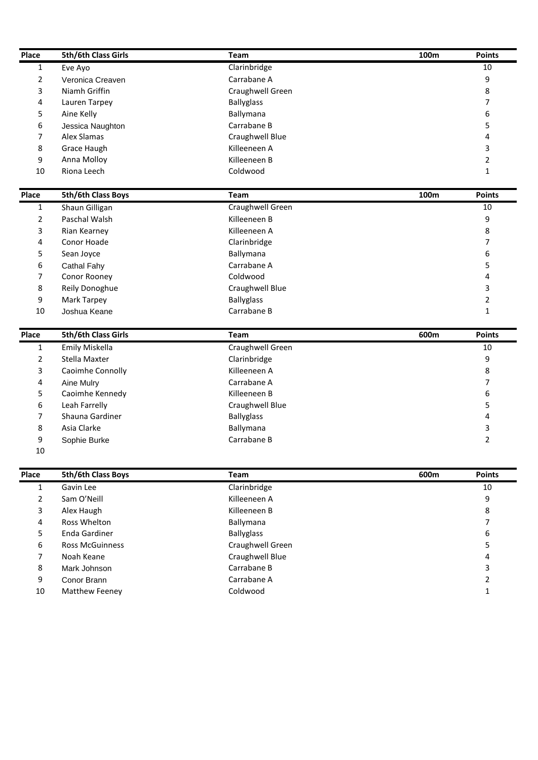| Place          | 5th/6th Class Girls               | Team                        | 100m             | <b>Points</b>  |
|----------------|-----------------------------------|-----------------------------|------------------|----------------|
| $\mathbf{1}$   | Eve Ayo                           | Clarinbridge<br>Carrabane A |                  | 10             |
| 2              | Veronica Creaven<br>Niamh Griffin |                             |                  | 9              |
| 3              |                                   | Craughwell Green            |                  | 8              |
| 4              | Lauren Tarpey                     | <b>Ballyglass</b>           |                  | 7              |
| 5              | Aine Kelly                        | Ballymana<br>Carrabane B    |                  | 6              |
| 6              | Jessica Naughton<br>Alex Slamas   |                             |                  | 5              |
| 7              |                                   | Craughwell Blue             |                  | 4              |
| 8              | <b>Grace Haugh</b>                | Killeeneen A                |                  | 3              |
| 9              | Anna Molloy                       | Killeeneen B                |                  | 2              |
| 10             | Riona Leech                       | Coldwood                    |                  | $\mathbf{1}$   |
| Place          | <b>5th/6th Class Boys</b>         | Team                        | 100 <sub>m</sub> | <b>Points</b>  |
| 1              | Shaun Gilligan                    | Craughwell Green            |                  | 10             |
| 2              | Paschal Walsh                     | Killeeneen B                |                  | 9              |
| 3              | Rian Kearney                      | Killeeneen A                |                  | 8              |
| 4              | Conor Hoade                       | Clarinbridge                |                  | 7              |
| 5              | Sean Joyce                        | Ballymana                   |                  | 6              |
| 6              | Cathal Fahy                       | Carrabane A                 |                  | 5              |
| 7              | Conor Rooney                      | Coldwood                    |                  | 4              |
| 8              | Reily Donoghue                    | Craughwell Blue             |                  | 3              |
| 9              | Mark Tarpey                       | <b>Ballyglass</b>           |                  | $\overline{2}$ |
| 10             | Joshua Keane                      | Carrabane B                 |                  | $\mathbf{1}$   |
| Place          | 5th/6th Class Girls               | Team                        | 600m             | <b>Points</b>  |
| 1              | <b>Emily Miskella</b>             | Craughwell Green            |                  | 10             |
| $\overline{2}$ | <b>Stella Maxter</b>              | Clarinbridge                |                  | 9              |
| 3              | Caoimhe Connolly                  | Killeeneen A                |                  | 8              |
| 4              | Aine Mulry                        | Carrabane A                 |                  | 7              |
| 5              | Caoimhe Kennedy                   | Killeeneen B                |                  | 6              |
| 6              | Leah Farrelly                     | Craughwell Blue             |                  | 5              |
| 7              | Shauna Gardiner                   | <b>Ballyglass</b>           |                  | 4              |
| 8              | Asia Clarke                       | Ballymana                   |                  | 3              |
| 9              | Sophie Burke                      | Carrabane B                 |                  | $\overline{2}$ |
| 10             |                                   |                             |                  |                |
| Place          | 5th/6th Class Boys                | Team                        | 600m             | <b>Points</b>  |
| $\mathbf{1}$   | Gavin Lee                         | Clarinbridge                |                  | 10             |
| 2              | Sam O'Neill                       | Killeeneen A                |                  | 9              |
| 3              | Alex Haugh                        | Killeeneen B                |                  | 8              |
| 4              | Ross Whelton                      | Ballymana                   |                  | 7              |
| 5              | Enda Gardiner                     | <b>Ballyglass</b>           |                  | 6              |
| 6              | <b>Ross McGuinness</b>            | Craughwell Green            |                  | 5              |
|                | Noah Keane                        | Craughwell Blue             |                  | 4              |
|                |                                   | Carrabane B                 |                  | 3              |
| 7              |                                   |                             |                  |                |
| 8              | Mark Johnson                      |                             |                  |                |
| 9              | Conor Brann                       | Carrabane A                 |                  | $\overline{2}$ |
| 10             | Matthew Feeney                    | Coldwood                    |                  | $\mathbf{1}$   |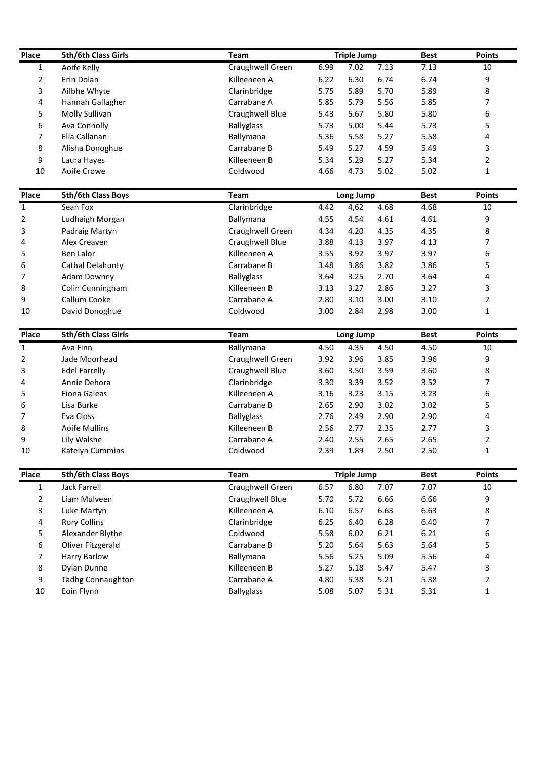| Place        | 5th/6th Class Girls            | <b>Team</b>             |              | <b>Triple Jump</b> |              | <b>Best</b>  | <b>Points</b>                 |
|--------------|--------------------------------|-------------------------|--------------|--------------------|--------------|--------------|-------------------------------|
| $\mathbf{1}$ | Aoife Kelly                    | Craughwell Green        | 6.99         | 7.02               | 7.13         | 7.13         | 10                            |
| 2            | Erin Dolan                     | Killeeneen A            | 6.22         | 6.30               | 6.74         | 6.74         | 9                             |
| 3            | Ailbhe Whyte                   | Clarinbridge            | 5.75         | 5.89               | 5.70         | 5.89         | 8                             |
| 4            | Hannah Gallagher               | Carrabane A             | 5.85         | 5.79               | 5.56         | 5.85         | 7                             |
| 5            | Molly Sullivan                 | Craughwell Blue         | 5.43         | 5.67               | 5.80         | 5.80         | 6                             |
| 6            | Ava Connolly                   | <b>Ballyglass</b>       | 5.73         | 5.00               | 5.44         | 5.73         | 5                             |
| 7            | Ella Callanan                  | Ballymana               | 5.36         | 5.58               | 5.27         | 5.58         | 4                             |
| 8            | Alisha Donoghue                | Carrabane B             | 5.49         | 5.27               | 4.59         | 5.49         | 3                             |
| 9            | Laura Hayes                    | Killeeneen B            | 5.34         | 5.29               | 5.27         | 5.34         | $\overline{2}$                |
| 10           | Aoife Crowe                    | Coldwood                | 4.66         | 4.73               | 5.02         | 5.02         | $\mathbf{1}$                  |
| Place        | 5th/6th Class Boys             | <b>Team</b>             |              | Long Jump          |              | <b>Best</b>  | <b>Points</b>                 |
| 1            | Sean Fox                       | Clarinbridge            | 4.42         | 4,62               | 4.68         | 4.68         | 10                            |
| 2            | Ludhaigh Morgan                | Ballymana               | 4.55         | 4.54               | 4.61         | 4.61         | 9                             |
| 3            | Padraig Martyn                 | Craughwell Green        | 4.34         | 4.20               | 4.35         | 4.35         | 8                             |
| 4            | Alex Creaven                   | Craughwell Blue         | 3.88         | 4.13               | 3.97         | 4.13         | 7                             |
| 5            | <b>Ben Lalor</b>               | Killeeneen A            | 3.55         | 3.92               | 3.97         | 3.97         | 6                             |
| 6            | Cathal Delahunty               | Carrabane B             | 3.48         | 3.86               | 3.82         | 3.86         | 5                             |
| 7            | <b>Adam Downey</b>             | <b>Ballyglass</b>       | 3.64         | 3.25               | 2.70         | 3.64         | 4                             |
| 8            | Colin Cunningham               | Killeeneen B            | 3.13         | 3.27               | 2.86         | 3.27         | 3                             |
| 9            | Callum Cooke                   | Carrabane A             | 2.80         | 3.10               | 3.00         | 3.10         | $\overline{2}$                |
| 10           | David Donoghue                 | Coldwood                | 3.00         | 2.84               | 2.98         | 3.00         | $\mathbf{1}$                  |
|              |                                |                         |              |                    |              |              |                               |
| Place        | <b>5th/6th Class Girls</b>     | <b>Team</b>             |              | Long Jump          |              | <b>Best</b>  | <b>Points</b>                 |
| 1            | Ava Finn                       | Ballymana               | 4.50         | 4.35               | 4.50         | 4.50         | 10                            |
| 2            | Jade Moorhead                  | Craughwell Green        | 3.92         | 3.96               | 3.85         | 3.96         | 9                             |
| 3            | <b>Edel Farrelly</b>           | Craughwell Blue         | 3.60         | 3.50               | 3.59         | 3.60         | 8                             |
| 4            | Annie Dehora                   | Clarinbridge            | 3.30         | 3.39               | 3.52         | 3.52         | 7                             |
| 5            | <b>Fiona Galeas</b>            | Killeeneen A            | 3.16         | 3.23               | 3.15         | 3.23         | 6                             |
| 6            | Lisa Burke                     | Carrabane B             | 2.65         | 2.90               | 3.02         | 3.02         | 5                             |
| 7            | Eva Closs                      | <b>Ballyglass</b>       | 2.76         | 2.49               | 2.90         | 2.90         | 4                             |
| 8            | Aoife Mullins                  | Killeeneen B            | 2.56         | 2.77               | 2.35         | 2.77         | 3                             |
| 9<br>10      | Lily Walshe<br>Katelyn Cummins | Carrabane A<br>Coldwood | 2.40<br>2.39 | 2.55<br>1.89       | 2.65<br>2.50 | 2.65<br>2.50 | $\overline{2}$<br>$\mathbf 1$ |
|              |                                |                         |              |                    |              |              |                               |
| Place        | 5th/6th Class Boys             | Team                    |              | <b>Triple Jump</b> |              | <b>Best</b>  | <b>Points</b>                 |
| $\mathbf{1}$ | <b>Jack Farrell</b>            | Craughwell Green        | 6.57         | 6.80               | 7.07         | 7.07         | 10                            |
| 2            | Liam Mulveen                   | Craughwell Blue         | 5.70         | 5.72               | 6.66         | 6.66         | 9                             |
| 3            | Luke Martyn                    | Killeeneen A            | 6.10         | 6.57               | 6.63         | 6.63         | 8                             |
| 4            | <b>Rory Collins</b>            | Clarinbridge            | 6.25         | 6.40               | 6.28         | 6.40         | $\overline{7}$                |
| 5            | Alexander Blythe               | Coldwood                | 5.58         | 6.02               | 6.21         | 6.21         | 6                             |
|              | Oliver Fitzgerald              | Carrabane B             | 5.20         | 5.64               | 5.63         | 5.64         | 5                             |
| 6            | <b>Harry Barlow</b>            | Ballymana               | 5.56         | 5.25               | 5.09         | 5.56         | 4                             |
| 7            |                                |                         |              |                    |              |              |                               |
| 8            | Dylan Dunne                    | Killeeneen B            | 5.27         | 5.18               | 5.47         | 5.47         | 3                             |
| 9            | Tadhg Connaughton              | Carrabane A             | 4.80         | 5.38               | 5.21         | 5.38         | $\overline{2}$                |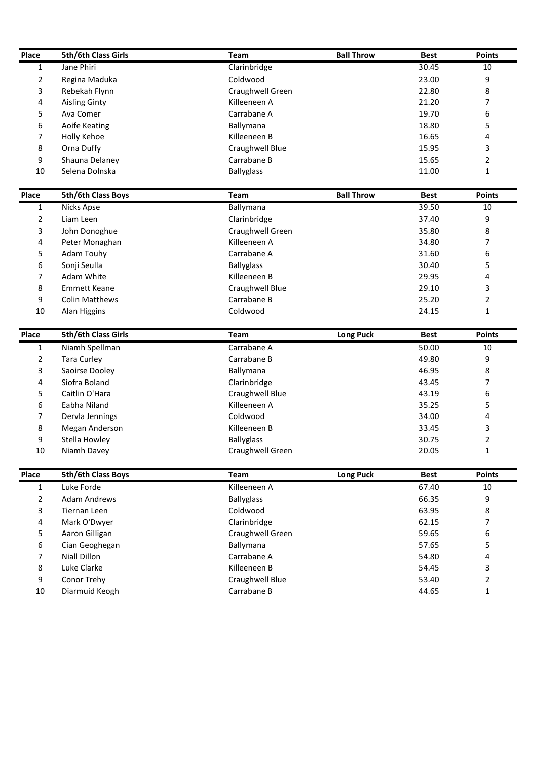| Place          | 5th/6th Class Girls       | Team              | <b>Ball Throw</b> | <b>Best</b> | <b>Points</b>  |
|----------------|---------------------------|-------------------|-------------------|-------------|----------------|
| $\mathbf{1}$   | Jane Phiri                | Clarinbridge      |                   | 30.45       | 10             |
| 2              | Regina Maduka             | Coldwood          |                   | 23.00       | 9              |
| 3              | Rebekah Flynn             | Craughwell Green  |                   | 22.80       | 8              |
| 4              | <b>Aisling Ginty</b>      | Killeeneen A      |                   | 21.20       | 7              |
| 5              | Ava Comer                 | Carrabane A       |                   | 19.70       | 6              |
| 6              | Aoife Keating             | Ballymana         |                   | 18.80       | 5              |
| 7              | Holly Kehoe               | Killeeneen B      |                   | 16.65       | 4              |
| 8              | Orna Duffy                | Craughwell Blue   |                   | 15.95       | 3              |
| 9              | Shauna Delaney            | Carrabane B       |                   | 15.65       | 2              |
| 10             | Selena Dolnska            | <b>Ballyglass</b> |                   | 11.00       | $\mathbf{1}$   |
| Place          | <b>5th/6th Class Boys</b> | <b>Team</b>       | <b>Ball Throw</b> | <b>Best</b> | <b>Points</b>  |
| 1              | <b>Nicks Apse</b>         | Ballymana         |                   | 39.50       | 10             |
| 2              | Liam Leen                 | Clarinbridge      |                   | 37.40       | 9              |
| 3              | John Donoghue             | Craughwell Green  |                   | 35.80       | 8              |
| 4              | Peter Monaghan            | Killeeneen A      |                   | 34.80       | 7              |
| 5              | Adam Touhy                | Carrabane A       |                   | 31.60       | 6              |
| 6              | Sonji Seulla              | <b>Ballyglass</b> |                   | 30.40       | 5              |
| 7              | Adam White                | Killeeneen B      |                   | 29.95       | 4              |
| 8              | <b>Emmett Keane</b>       | Craughwell Blue   |                   | 29.10       | 3              |
| 9              | <b>Colin Matthews</b>     | Carrabane B       |                   | 25.20       | 2              |
| 10             | Alan Higgins              | Coldwood          |                   | 24.15       | $\mathbf{1}$   |
| Place          | 5th/6th Class Girls       | <b>Team</b>       | <b>Long Puck</b>  | <b>Best</b> | <b>Points</b>  |
| 1              | Niamh Spellman            | Carrabane A       |                   | 50.00       | 10             |
| $\overline{2}$ | <b>Tara Curley</b>        | Carrabane B       |                   | 49.80       | 9              |
| 3              | Saoirse Dooley            | Ballymana         |                   | 46.95       | 8              |
| 4              | Siofra Boland             | Clarinbridge      |                   | 43.45       | 7              |
| 5              | Caitlin O'Hara            | Craughwell Blue   |                   | 43.19       | 6              |
| 6              | Eabha Niland              | Killeeneen A      |                   | 35.25       | 5              |
| 7              | Dervla Jennings           | Coldwood          |                   | 34.00       | 4              |
| 8              | Megan Anderson            | Killeeneen B      |                   | 33.45       | 3              |
| 9              | Stella Howley             | <b>Ballyglass</b> |                   | 30.75       | $\overline{2}$ |
| 10             | Niamh Davey               | Craughwell Green  |                   | 20.05       | $\mathbf{1}$   |
| Place          | 5th/6th Class Boys        | Team              | <b>Long Puck</b>  | <b>Best</b> | <b>Points</b>  |
| $\mathbf{1}$   | Luke Forde                | Killeeneen A      |                   | 67.40       | 10             |
| 2              | <b>Adam Andrews</b>       | <b>Ballyglass</b> |                   | 66.35       | 9              |
| 3              | <b>Tiernan Leen</b>       | Coldwood          |                   | 63.95       | 8              |
| 4              | Mark O'Dwyer              | Clarinbridge      |                   | 62.15       | 7              |
| 5              | Aaron Gilligan            | Craughwell Green  |                   | 59.65       | 6              |
| 6              | Cian Geoghegan            | Ballymana         |                   | 57.65       | 5              |
| 7              | <b>Niall Dillon</b>       | Carrabane A       |                   | 54.80       | 4              |
|                |                           | Killeeneen B      |                   | 54.45       | 3              |
| 8              | Luke Clarke               |                   |                   |             |                |
| 9              | Conor Trehy               | Craughwell Blue   |                   | 53.40       | $\overline{2}$ |